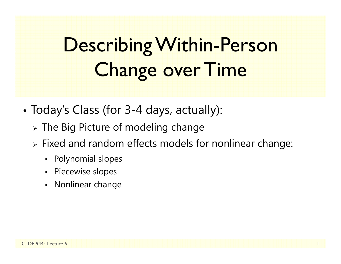# Describing Within-Person Change over Time

- • Today's Class (for 3-4 days, actually):
	- $\triangleright$  The Big Picture of modeling change
	- $\triangleright$  Fixed and random effects models for nonlinear change:
		- Polynomial slopes
		- Piecewise slopes
		- Nonlinear change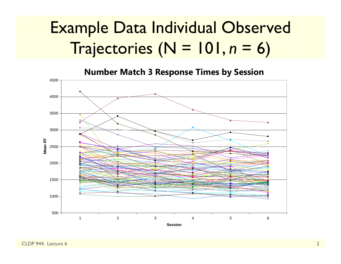#### Example Data Individual Observed Trajectories (N = 101, *n* $n = 6$

**Number Match 3 Response Times by Session** 

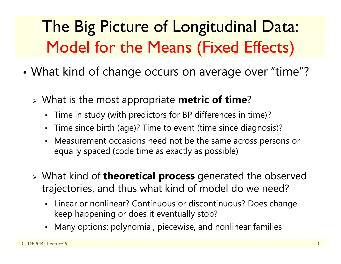## The Big Picture of Longitudinal Data: Model for the Means (Fixed Effects)

- • What kind of change occurs on average over "time"?
	- What is the most appropriate **metric of time** ?
		- $\blacksquare$ Time in study (with predictors for BP differences in time)?
		- Time since birth (age)? Time to event (time since diagnosis)?
		- Measurement occasions need not be the same across persons or equally spaced (code time as exactly as possible)
	- What kind of **theoretical process** generated the observed trajectories, and thus what kind of model do we need?
		- Linear or nonlinear? Continuous or discontinuous? Does change keep happening or does it eventually stop?
		- Many options: polynomial, piecewise, and nonlinear families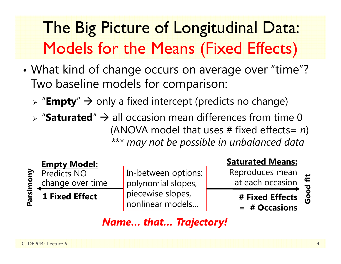# The Big Picture of Longitudinal Data: Models for the Means (Fixed Effects)

- • What kind of change occurs on average over "time"? Two baseline models for comparison:
	- > "**Empty**" → only a fixed intercept (predicts no change)
	- $\triangleright$  "Saturated"  $\rightarrow$  all occasion mean differences from time 0 (ANOVA model that uses # fixed effects= *n* ) *\*\*\* may not be possible in unbalanced data*



In-between options: polynomial slopes, piecewise slopes, nonlinear models…

#### **Saturated Means:**

Reproduces mean at each occasion

**# Fixed Effects** 

**= # Occasions**

Good fit **Good fit**

#### *Name… that… Trajectory!*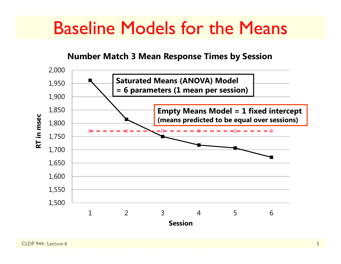### Baseline Models for the Means

#### **Number Match 3 Mean Response Times by Session**

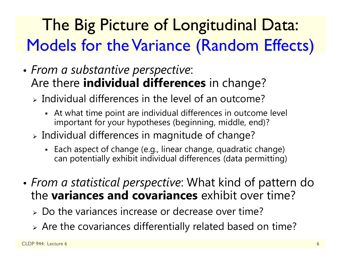## The Big Picture of Longitudinal Data: Models for the Variance (Random Effects)

- • *From a substantive perspective*: Are there **individual differences** in change?
	- $\triangleright$  Individual differences in the level of an outcome?
		- At what time point are individual differences in outcome level important for your hypotheses (beginning, middle, end)?
	- $\triangleright$  Individual differences in magnitude of change?
		- Each aspect of change (e.g., linear change, quadratic change) can potentially exhibit individual differences (data permitting)
- • *From a statistical perspective*: What kind of pattern do the **variances and covariances** exhibit over time?
	- Do the variances increase or decrease over time?
	- Are the covariances differentially related based on time?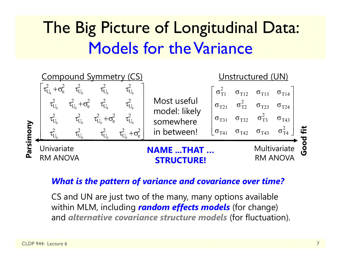### The Big Picture of Longitudinal Data: Models for the Variance



#### *What is the pattern of variance and covariance over time?*

CS and UN are just two of the many, many options available within MLM, including *random effects models* (for change) and *alternative covariance structure models* (for fluctuation).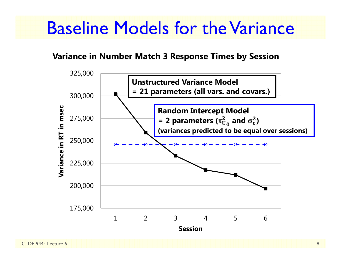### Baseline Models for the Variance

#### **Variance in Number Match 3 Response Times by Session**

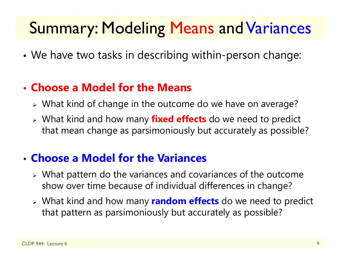### Summary: Modeling Means and Variances

•We have two tasks in describing within-person change:

#### • **Choose a Model for the Means**

- What kind of change in the outcome do we have on average?
- What kind and how many **fixed effects** do we need to predict that mean change as parsimoniously but accurately as possible?

#### • **Choose a Model for the Variances**

- What pattern do the variances and covariances of the outcome show over time because of individual differences in change?
- What kind and how many **random effects** do we need to predict that pattern as parsimoniously but accurately as possible?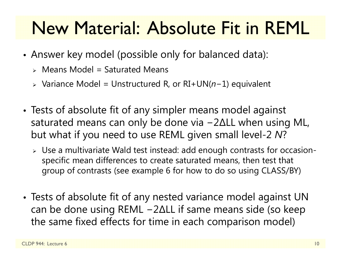# New Material: Absolute Fit in REML

- • Answer key model (possible only for balanced data):
	- $\triangleright$  Means Model = Saturated Means
	- Variance Model = Unstructured R, or RI+UN( *n* <sup>−</sup>1) equivalent
- • Tests of absolute fit of any simpler means model against saturated means can only be done via − 2 ∆LL when using ML, but what if you need to use REML given small level-2 *N* ?
	- $\triangleright\;$  Use a multivariate Wald test instead: add enough contrasts for occasionspecific mean differences to create saturated means, then test that group of contrasts (see example 6 for how to do so using CLASS/BY)
- • Tests of absolute fit of any nested variance model against UN can be done using REML − 2 ∆LL if same means side (so keep the same fixed effects for time in each comparison model)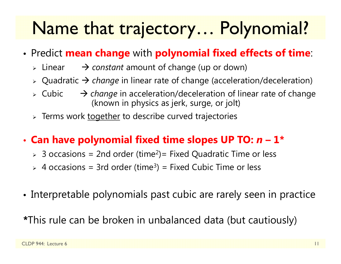# Name that trajectory… Polynomial?

- • Predict **mean change** with **polynomial fixed effects of time**:
	- $\triangleright$  Linear → *constant* amount of change (up or down)
	- Quadratic *change* in linear rate of change (acceleration/deceleration)
	- $\triangleright$  Cubic → *change* in acceleration/deceleration of linear rate of change (known in physics as jerk, surge, or jolt)
	- > Terms work <u>together</u> to describe curved trajectories

#### •**Can have polynomial fixed time slopes UP TO:**  *n* **– 1\***

- $>$  3 occasions = 2nd order (time<sup>2</sup>)= Fixed Quadratic Time or less
- $>$  4 occasions = 3rd order (time<sup>3</sup>) = Fixed Cubic Time or less
- Interpretable polynomials past cubic are rarely seen in practice

**\***This rule can be broken in unbalanced data (but cautiously)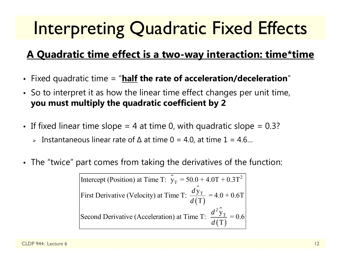# Interpreting Quadratic Fixed Effects

#### **A Quadratic time effect is a two-way interaction: time\*time**

- Fixed quadratic time = "**half the rate of acceleration/deceleration** "
- So to interpret it as how the linear time effect changes per unit time, **you must multiply the quadratic coefficient by 2**
- $\bullet~$  If fixed linear time slope = 4 at time 0, with quadratic slope = 0.3?
	- Instantaneous linear rate of ∆ at time 0 = 4.0, at time 1 = 4.6…
- $\bullet$ The "twice" part comes from taking the derivatives of the function:

⌒ Intercept (Position) at Time T:  $\hat{y}_T = 50.0 + 4.0T + 0.3T^2$ ⌒  $(\mathrm{T})$ ㅅ  $(\mathrm{T})$ T T First Derivative (Velocity) at Time T:  $\frac{dy_T}{d(T)} = 4.0 + 0.6T$ Second Derivative (Acceleration) at Time T:  $\frac{d^2y_T}{d(T)} = 0.6$ *d d d*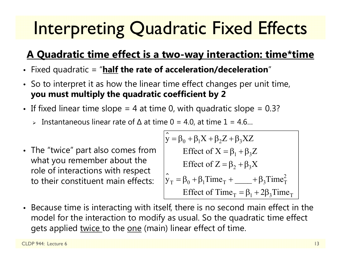# Interpreting Quadratic Fixed Effects

#### **A Quadratic time effect is a two-way interaction: time\*time**

- Fixed quadratic = "**half the rate of acceleration/deceleration** "
- So to interpret it as how the linear time effect changes per unit time, **you must multiply the quadratic coefficient by 2**
- If fixed linear time slope = 4 at time 0, with quadratic slope = 0.3?  $\,$ 
	- Instantaneous linear rate of ∆ at time 0 = 4.0, at time 1 = 4.6…
- The "twice" part also comes from what you remember about the role of interactions with respect to their constituent main effects:

$$
\hat{y} = \beta_0 + \beta_1 X + \beta_2 Z + \beta_3 XZ
$$
  
\nEffect of X =  $\beta_1 + \beta_3 Z$   
\nEffect of Z =  $\beta_2 + \beta_3 X$   
\n
$$
\hat{y}_T = \beta_0 + \beta_1 Time_T + \_\_ + \beta_3 Time_T^2
$$
  
\nEffect of Time<sub>T</sub> =  $\beta_1 + 2\beta_3 Time_T$ 

• Because time is interacting with itself, there is no second main effect in the model for the interaction to modify as usual. So the quadratic time effect gets applied twice to the one (main) linear effect of time.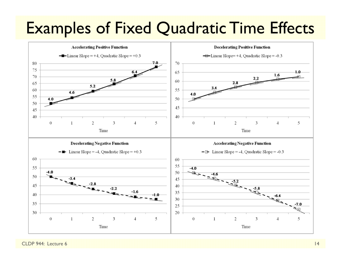### Examples of Fixed Quadratic Time Effects



CLDP 944: Lecture 6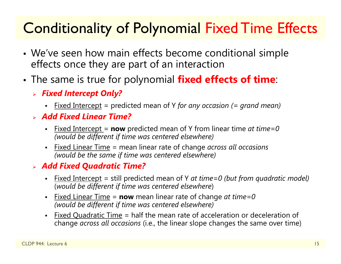### Conditionality of Polynomial Fixed Time Effects

- • We've seen how main effects become conditional simple effects once they are part of an interaction
- • The same is true for polynomial **fixed effects of time**:
	- *Fixed Intercept Only?*
		- n Fixed Intercept = predicted mean of Y *for any occasion (= grand mean)*
	- *Add Fixed Linear Time?*
		- n Fixed Intercept = **now** predicted mean of Y from linear time *at time=0 (would be different if time was centered elsewhere)*
		- Fixed Linear Time = mean linear rate of change *across all occasions (would be the same if time was centered elsewhere)*

#### *Add Fixed Quadratic Time?*

- n Fixed Intercept = still predicted mean of Y *at time=0 (but from quadratic model)* (*would be different if time was centered elsewhere*)
- n Fixed Linear Time <sup>=</sup>**now** mean linear rate of change *at time=0 (would be different if time was centered elsewhere)*
- n Fixed Quadratic Time = half the mean rate of acceleration or deceleration of change *across all occasions* (i.e., the linear slope changes the same over time)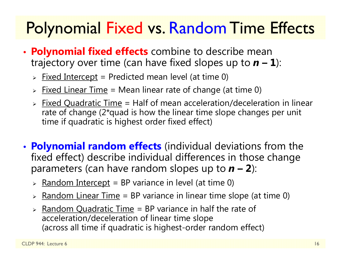### **Polynomial Fixed vs. Random Time Effects**

- • **Polynomial fixed effects** combine to describe mean trajectory over time (can have fixed slopes up to  $n - 1$ ):
	- > <u>Fixed Intercept</u> = Predicted mean level (at time 0)
	- > Fixed Linear Time = Mean linear rate of change (at time 0)
	- > Fixed Quadratic Time = Half of mean acceleration/deceleration in linear rate of change (2\*quad is how the linear time slope changes per unit time if quadratic is highest order fixed effect)
- • **Polynomial random effects** (individual deviations from the fixed effect) describe individual differences in those change parameters (can have random slopes up to  $n - 2$ ):
	- > <u>Random Intercept</u> = BP variance in level (at time 0)
	- > <u>Random Linear Time</u> = BP variance in linear time slope (at time 0)
	- > Random Quadratic Time = BP variance in half the rate of acceleration/deceleration of linear time slope (across all time if quadratic is highest-order random effect)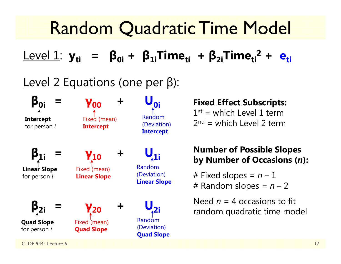#### Random Quadratic Time Model Level 1: **yti <sup>=</sup> β0i <sup>+</sup> β1iTimeti <sup>+</sup> β2iTimeti2 + eti**Level 2 Equations (one per β): **β0i <sup>=</sup> γ00 <sup>+</sup> <sub>0i</sub> β1i <sup>=</sup> γ10 <sup>+</sup>**  ${\mathsf U}_{1i}$ **β2i <sup>=</sup> γ20 <sup>+</sup> U2i** CLDP 944: Lecture 6 17 **Fixed Effect Subscripts:**  $1^{st}$  = which Level 1 term  $2<sup>nd</sup>$  = which Level 2 term **Number of Possible Slopes by Number of Occasions (** *<sup>n</sup>***):** # Fixed slopes = *n* – 1 # Random slopes = *n* – 2 Need *n* = 4 occasions to fit random quadratic time model **Intercept** for person *i* **Linear Slope** for person *i* **Quad Slope** for person *i* Fixed (mean) **Intercept** Fixed (mean) **Linear Slope** Fixed (mean) **Quad Slope** Random (Deviation) **Intercept** Random (Deviation) **Linear Slope** Random (Deviation) **Quad Slope**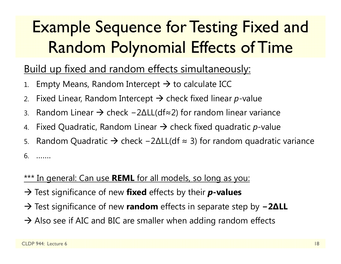### Example Sequence for Testing Fixed and Random Polynomial Effects of Time

#### Build up fixed and random effects simultaneously:

- 1.. Empty Means, Random Intercept  $\bm{\rightarrow}$  to calculate ICC
- 2.. Fixed Linear, Random Intercept  $\bm{\rightarrow}$  check fixed linear  $p$ -value
- 3.. Random Linear → check –2∆LL(df≈2) for random linear variance
- 4.. Fixed Quadratic, Random Linear  $\rightarrow$  check fixed quadratic  $p$ -value
- 5.. Random Quadratic → check –2∆LL(df ≈ 3) for random quadratic variance

6. …….

#### \*\*\* In general: Can use **REML** for all models, so long as you:

- → Test significance of new **fixed** effects by their **p-values**
- → Test significance of new **random** effects in separate step by **− 2 ∆LL**
- $\rightarrow$  Also see if AIC and BIC are smaller when adding random effects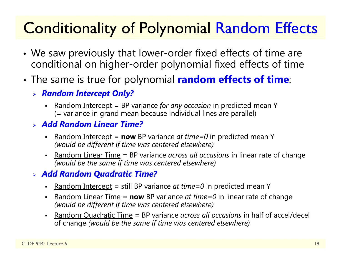### Conditionality of Polynomial Random Effects

- • We saw previously that lower-order fixed effects of time are conditional on higher-order polynomial fixed effects of time
- • The same is true for polynomial **random effects of time**:
	- *Random Intercept Only?*
		- n Random Intercept = BP variance *for any occasion* in predicted mean Y (= variance in grand mean because individual lines are parallel)
	- *Add Random Linear Time?*
		- n Random Intercept <sup>=</sup>**now** BP variance *at time=0* in predicted mean Y *(would be different if time was centered elsewhere)*
		- n Random Linear Time = BP variance *across all occasions* in linear rate of change *(would be the same if time was centered elsewhere)*

#### *Add Random Quadratic Time?*

- n Random Intercept = still BP variance *at time=0* in predicted mean Y
- n **-** Random Linear Time = **now** BP variance *at time=0* in linear rate of change *(would be different if time was centered elsewhere)*
- n Random Quadratic Time = BP variance *across all occasions* in half of accel/decel of change *(would be the same if time was centered elsewhere)*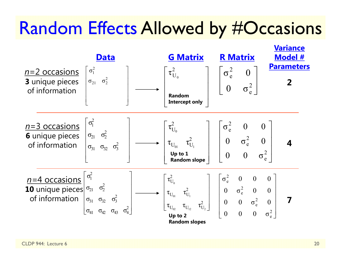### Random Effects Allowed by #Occasions

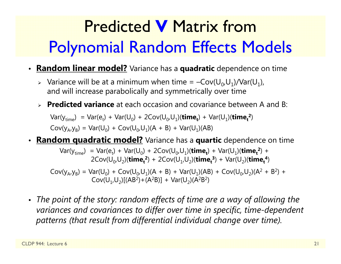# Predicted **V** Matrix from Polynomial Random Effects Models

- **Random linear model?** Variance has a **quadratic** dependence on time
	- > Variance will be at a minimum when time =  $-Cov(U_0,U_1)/Var(U_1)$ , and will increase parabolically and symmetrically over time
	- **Predicted variance** at each occasion and covariance between A and B:

 $Var(y_{time}) = Var(e_t) + Var(U_0) + 2Cov(U_0, U_1)(time_t) + Var(U_1)(time_t^2)$  $Cov(y_A, y_B) = Var(U_0) + Cov(U_0, U_1)(A + B) + Var(U_1)(AB)$ 

• **Random quadratic model?** Variance has a **quartic** dependence on time

 $Var(y_{time}) = Var(e_t) + Var(U_0) + 2Cov(U_0, U_1)(time_t) + Var(U_1)(time_t^2) +$  $2\text{Cov}(U_{0},U_{2})$ (**time**<sub>t</sub><sup>2</sup>) +  $2\text{Cov}(U_{1},U_{2})$ (**time**<sub>t</sub><sup>3</sup>) +  $\text{Var}(U_{2})$ (**time**<sub>t</sub><sup>4</sup>)

 $Cov(y_A, y_B) = Var(U_0) + Cov(U_0, U_1)(A + B) + Var(U_1)(AB) + Cov(U_0, U_2)(A^2 + B^2) +$  $Cov(U_1,U_2)[(AB^2)+(A^2B)] + Var(U_2)(A^2B^2)$ 

• *The point of the story: random effects of time are a way of allowing the variances and covariances to differ over time in specific, time-dependent patterns (that result from differential individual change over time).*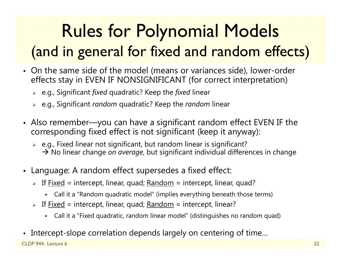# Rules for Polynomial Models (and in general for fixed and random effects)

- On the same side of the model (means or variances side), lower-order effects stay in EVEN IF NONSIGNIFICANT (for correct interpretation)
	- e.g., Significant *fixed* quadratic? Keep the *fixed* linear
	- e.g., Significant *random* quadratic? Keep the *random* linear
- Also remember—you can have a significant random effect EVEN IF the corresponding fixed effect is not significant (keep it anyway):
	- $\triangleright$   $\,$  e.g., Fixed linear not significant, but random linear is significant? → No linear change *on average*, but significant individual differences in change
- Language: A random effect supersedes a fixed effect:
	- > If <u>Fixed</u> = intercept, linear, quad; <u>Random</u> = intercept, linear, quad?
		- Call it a "Random quadratic model" (implies everything beneath those terms)
	- > If <u>Fixed</u> = intercept, linear, quad; <u>Random</u> = intercept, linear?
		- Call it a "Fixed quadratic, random linear model" (distinguishes no random quad)
- •Intercept-slope correlation depends largely on centering of time…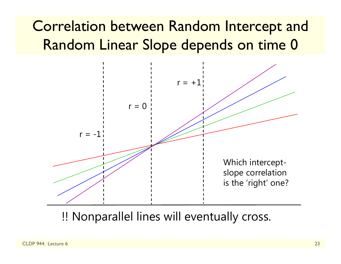### Correlation between Random Intercept and Random Linear Slope depends on time 0



!! Nonparallel lines will eventually cross.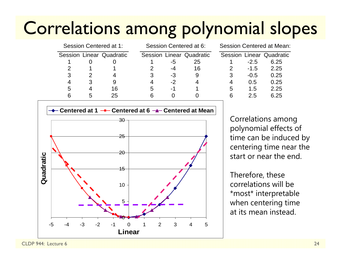# Correlations among polynomial slopes

| Session Centered at 1: |   |                          | Session Centered at 6: |      |                          | Session Centered at Mean: |        |                                 |  |  |
|------------------------|---|--------------------------|------------------------|------|--------------------------|---------------------------|--------|---------------------------------|--|--|
|                        |   | Session Linear Quadratic |                        |      | Session Linear Quadratic |                           |        | <b>Session Linear Quadratic</b> |  |  |
|                        |   |                          |                        | -5   | 25                       |                           | $-2.5$ | 6.25                            |  |  |
|                        |   |                          |                        | -4   | 16                       |                           | $-1.5$ | 2.25                            |  |  |
| 3                      |   |                          |                        | $-3$ | 9                        | 3                         | $-0.5$ | 0.25                            |  |  |
| 4                      |   |                          | 4                      | $-2$ | 4                        | 4                         | 0.5    | 0.25                            |  |  |
| 5                      |   | 16                       | 5                      | -1   |                          | 5                         | 1.5    | 2.25                            |  |  |
|                        | 5 | 25                       | 6                      |      |                          | 6                         | 2.5    | 6.25                            |  |  |
|                        |   |                          |                        |      |                          |                           |        |                                 |  |  |

| Session Linear Quadratic<br>6.25 |
|----------------------------------|
|                                  |
|                                  |
| 2.25                             |
| 0.25                             |
| 0.25                             |
| 2.25                             |
| 6.25                             |
|                                  |



Correlations among polynomial effects of time can be induced by centering time near the start or near the end.

Therefore, these correlations will be \*most\* interpretable when centering time at its mean instead.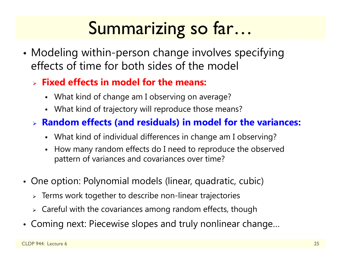# Summarizing so far…

• Modeling within-person change involves specifying effects of time for both sides of the model

#### **Fixed effects in model for the means:**

- What kind of change am I observing on average?
- What kind of trajectory will reproduce those means?

#### **Random effects (and residuals) in model for the variances:**

- What kind of individual differences in change am I observing?
- How many random effects do I need to reproduce the observed pattern of variances and covariances over time?
- One option: Polynomial models (linear, quadratic, cubic)
	- $\triangleright$  Terms work together to describe non-linear trajectories
	- $\triangleright$  Careful with the covariances among random effects, though
- Coming next: Piecewise slopes and truly nonlinear change…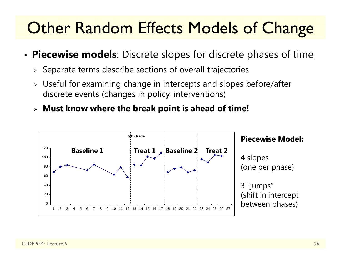### **Other Random Effects Models of Change**

#### •**Piecewise models**: Discrete slopes for discrete phases of time

- $\triangleright$  Separate terms describe sections of overall trajectories
- $\triangleright$  Useful for examining change in intercepts and slopes before/after discrete events (changes in policy, interventions)
- **Must know where the break point is ahead of time!**

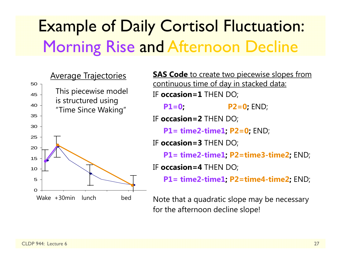### Example of Daily Cortisol Fluctuation: Morning Rise and Afternoon Decline



**SAS Code** to create two piecewise slopes from continuous time of day in stacked data: IF **occasion=1** THEN DO; **P1=0; P2=0;** END; IF **occasion=2** THEN DO; **P1= time2-time1; P2=0;** END; IF **occasion=3** THEN DO; **P1= time2-time1; P2=time3-time2;** END; IF **occasion=4** THEN DO; **P1= time2-time1; P2=time4-time2;** END; Note that a quadratic slope may be necessary

for the afternoon decline slope!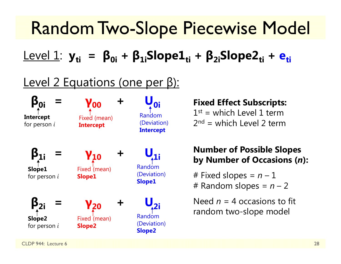# Random Two-Slope Piecewise Model

Level 1: **yti <sup>=</sup> β0i <sup>+</sup> β1iSlope1ti <sup>+</sup> β2iSlope2ti <sup>+</sup> eti**

#### Level 2 Equations (one per β):



#### **Fixed Effect Subscripts:**

 $1^{st}$  = which Level 1 term  $2<sup>nd</sup>$  = which Level 2 term

#### **Number of Possible Slopes by Number of Occasions (** *<sup>n</sup>***):**

# Fixed slopes = *n* – 1 # Random slopes = *n* – 2

Need *n* = 4 occasions to fit random two-slope model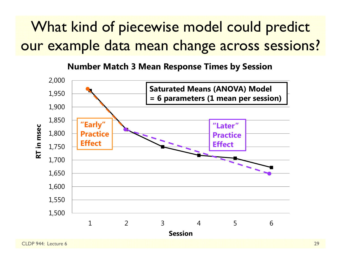### What kind of piecewise model could predict our example data mean change across sessions?

**Number Match 3 Mean Response Times by Session**

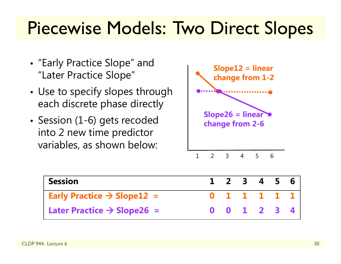# Piecewise Models: Two Direct Slopes

- "Early Practice Slope" and "Later Practice Slope"
- • Use to specify slopes through each discrete phase directly
- Session (1-6) gets recoded into 2 new time predictor variables, as shown below:



| <b>Session</b>                                           | $1 \t2 \t3 \t4 \t5 \t6$ |  |  |
|----------------------------------------------------------|-------------------------|--|--|
| <b>Early Practice <math>\rightarrow</math> Slope12 =</b> | 0 1 1 1 1 1 1           |  |  |
| Later Practice $\rightarrow$ Slope26 =                   | 0 0 1 2 3 4             |  |  |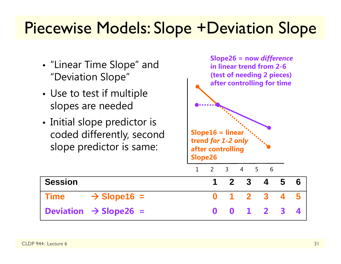### Piecewise Models: Slope +Deviation Slope

- "Linear Time Slope" and "Deviation Slope"
- • Use to test if multiple slopes are needed
- Initial slope predictor is coded differently, second slope predictor is same:



**Time**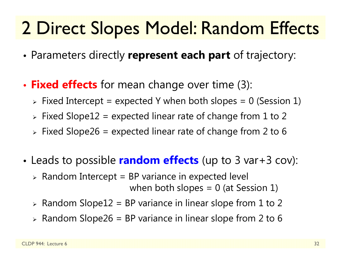# 2 Direct Slopes Model: Random Effects

- •Parameters directly **represent each part** of trajectory:
- • **Fixed effects** for mean change over time (3):
	- $\triangleright$  Fixed Intercept = expected Y when both slopes = 0 (Session 1)
	- $\triangleright$  Fixed Slope $12$  = expected linear rate of change from  $1$  to  $2$
	- $\triangleright$  Fixed Slope26 = expected linear rate of change from 2 to 6
- • Leads to possible **random effects** (up to 3 var+3 cov):
	- $\triangleright$  Random Intercept = BP variance in expected level when both slopes  $= 0$  (at Session 1)
	- $\triangleright$  Random Slope12 = BP variance in linear slope from 1 to 2
	- $\triangleright$  Random Slope26 = BP variance in linear slope from 2 to 6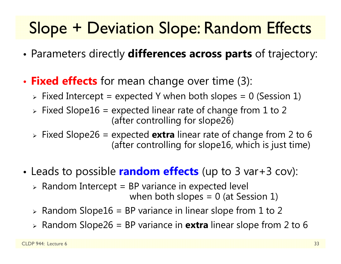### Slope + Deviation Slope: Random Effects

- •Parameters directly **differences across parts** of trajectory:
- • **Fixed effects** for mean change over time (3):
	- $\triangleright$  Fixed Intercept = expected Y when both slopes = 0 (Session 1)
	- $\triangleright$  Fixed Slope16 = expected linear rate of change from 1 to 2 (after controlling for slope26)
	- Fixed Slope26 = expected **extra** linear rate of change from 2 to 6 (after controlling for slope16, which is just time)
- • Leads to possible **random effects** (up to 3 var+3 cov):
	- $\triangleright$  Random Intercept = BP variance in expected level

when both slopes  $= 0$  (at Session 1)

- $\triangleright$  Random Slope16 = BP variance in linear slope from 1 to 2
- Random Slope26 = BP variance in **extra** linear slope from 2 to 6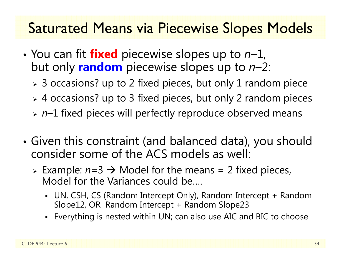#### Saturated Means via Piecewise Slopes Models

- You can fit **fixed** piecewise slopes up to *<sup>n</sup>*–1, but only **random** piecewise slopes up to *n*–2:
	- $\triangleright$  3 occasions? up to 2 fixed pieces, but only 1 random piece
	- 4 occasions? up to 3 fixed pieces, but only 2 random pieces
	- *<sup>n</sup>*–1 fixed pieces will perfectly reproduce observed means
- • Given this constraint (and balanced data), you should consider some of the ACS models as well:
	- $\triangleright$  Example:  $n=3 \rightarrow$  Model for the means = 2 fixed pieces, Model for the Variances could be….
		- UN, CSH, CS (Random Intercept Only), Random Intercept + Random Slope12, OR Random Intercept + Random Slope23
		- Everything is nested within UN; can also use AIC and BIC to choose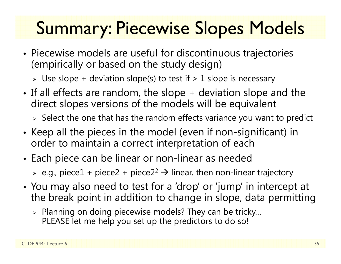# Summary: Piecewise Slopes Models

- • Piecewise models are useful for discontinuous trajectories (empirically or based on the study design)
	- $\triangleright$  Use slope + deviation slope(s) to test if  $> 1$  slope is necessary
- • If all effects are random, the slope + deviation slope and the direct slopes versions of the models will be equivalent

 $\triangleright$  Select the one that has the random effects variance you want to predict

- • $\bullet\,$  Keep all the pieces in the model (even if non-significant) in  $\,$ order to maintain a correct interpretation of each
- Each piece can be linear or non-linear as needed

 $\triangleright$  e.g., piece $1$  + piece $2$  + piece $2^2$   $\rightarrow$  linear, then non-linear trajectory

- • You may also need to test for a 'drop' or 'jump' in intercept at the break point in addition to change in slope, data permitting
	- $\triangleright$  Planning on doing piecewise models? They can be tricky... PLEASE let me help you set up the predictors to do so!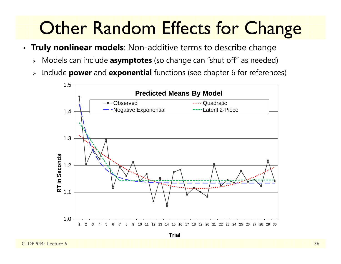# **Other Random Effects for Change**

- **Truly nonlinear models**: Non-additive terms to describe change
	- Models can include **asymptotes** (so change can "shut off" as needed)
	- $\blacktriangleright$ Include **power** and **exponential** functions (see chapter 6 for references)



**Trial**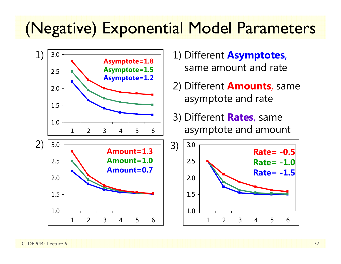### (Negative) Exponential Model Parameters



- 1) Different **Asymptotes**, same amount and rate
- 2) Different **Amounts**, same asymptote and rate
- 3) Different **Rates**, same asymptote and amount

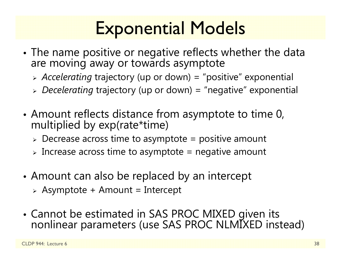# Exponential Models

- • The name positive or negative reflects whether the data are moving away or towards asymptote
	- *Accelerating* trajectory (up or down) = "positive" exponential
	- *Decelerating* trajectory (up or down) = "negative" exponential
- • Amount reflects distance from asymptote to time 0, multiplied by exp(rate\*time)
	- $\triangleright$  Decrease across time to asymptote = positive amount
	- $\triangleright$  Increase across time to asymptote = negative amount
- • Amount can also be replaced by an intercept
	- $\triangleright$  Asymptote + Amount = Intercept
- Cannot be estimated in SAS PROC MIXED given its nonlinear parameters (use SAS PROC NLMIXED instead)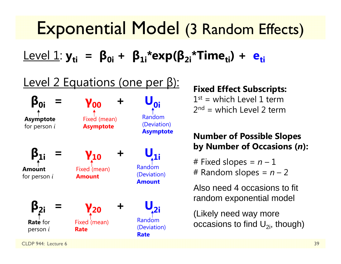### Exponential Model (3 Random Effects)

 ${\sf Level\ 1:}$   ${\sf y_{ti}\ \, =\ \, {\sf \beta_{0i}\, +\ \, {\sf \beta_{1i}}^{\ast}}$ exp( ${\sf \beta_{2i}\!}\,$ \*Time<sub>ti</sub>) +  ${\sf e_{ti}\!}\,$ 

#### Level 2 Equations (one per β):



#### **Fixed Effect Subscripts:**

 $1^{st}$  = which Level 1 term  $2<sup>nd</sup>$  = which Level 2 term

#### **Number of Possible Slopes by Number of Occasions (** *<sup>n</sup>***):**

# Fixed slopes = *n* – 1 # Random slopes = *n* – 2

Also need 4 occasions to fit random exponential model

(Likely need way more occasions to find  $U_{2i}$ , though)

CLDP 944: Lecture 6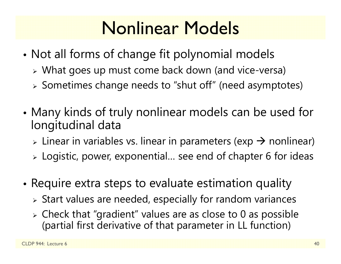# Nonlinear Models

- • Not all forms of change fit polynomial models
	- What goes up must come back down (and vice-versa)
	- Sometimes change needs to "shut off" (need asymptotes)
- • Many kinds of truly nonlinear models can be used for longitudinal data
	- $\triangleright$  Linear in variables vs. linear in parameters (exp  $\rightarrow$  nonlinear)
	- $\triangleright$  Logistic, power, exponential... see end of chapter 6 for ideas
- • $\bullet$  Require extra steps to evaluate estimation quality
	- $\triangleright$  Start values are needed, especially for random variances
	- $\triangleright$  Check that "gradient" values are as close to 0 as possible (partial first derivative of that parameter in LL function)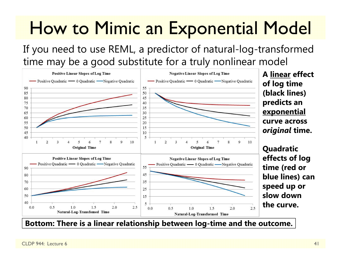# How to Mimic an Exponential Model

If you need to use REML, a predictor of natural-log-transformed time may be a good substitute for a truly nonlinear model



**A linear effect of log time (black lines) predicts an exponential curve across** *original* **time.**

**Quadratic effects of log time (red or blue lines) can speed up or slow down the curve.** 

**Bottom: There is a linear relationship between log-time and the outcome.**